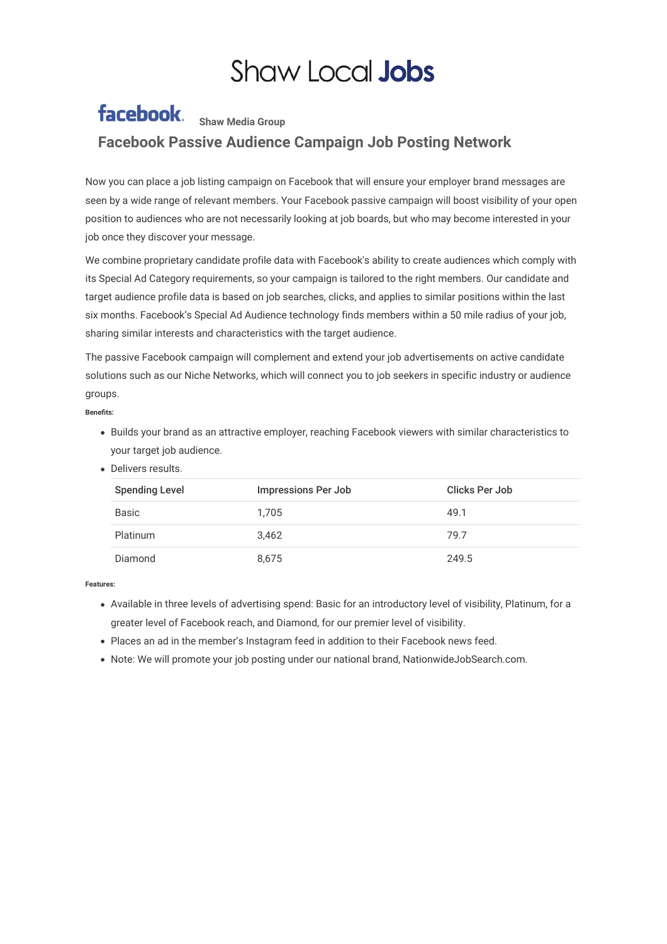## **Shaw Local Jobs**

## facebook. Shaw Media Group **Facebook Passive Audience Campaign Job Posting Network**

Now you can place a job listing campaign on Facebook that will ensure your employer brand messages are seen by a wide range of relevant members. Your Facebook passive campaign will boost visibility of your open position to audiences who are not necessarily looking at job boards, but who may become interested in your job once they discover your message.

We combine proprietary candidate profile data with Facebook's ability to create audiences which comply with its Special Ad Category requirements, so your campaign is tailored to the right members. Our candidate and target audience profile data is based on job searches, clicks, and applies to similar positions within the last six months. Facebook's Special Ad Audience technology finds members within a 50 mile radius of your job, sharing similar interests and characteristics with the target audience.

The passive Facebook campaign will complement and extend your job advertisements on active candidate solutions such as our Niche Networks, which will connect you to job seekers in specific industry or audience groups.

## **Benets:**

- Builds your brand as an attractive employer, reaching Facebook viewers with similar characteristics to your target job audience.
- Delivers results.

| <b>Spending Level</b> | Impressions Per Job | Clicks Per Job |
|-----------------------|---------------------|----------------|
| Basic                 | 1.705               | 49.1           |
| <b>Platinum</b>       | 3.462               | 79.7           |
| Diamond               | 8,675               | 249.5          |

**Features:**

- Available in three levels of advertising spend: Basic for an introductory level of visibility, Platinum, for a greater level of Facebook reach, and Diamond, for our premier level of visibility.
- Places an ad in the member's Instagram feed in addition to their Facebook news feed.
- Note: We will promote your job posting under our national brand, NationwideJobSearch.com.